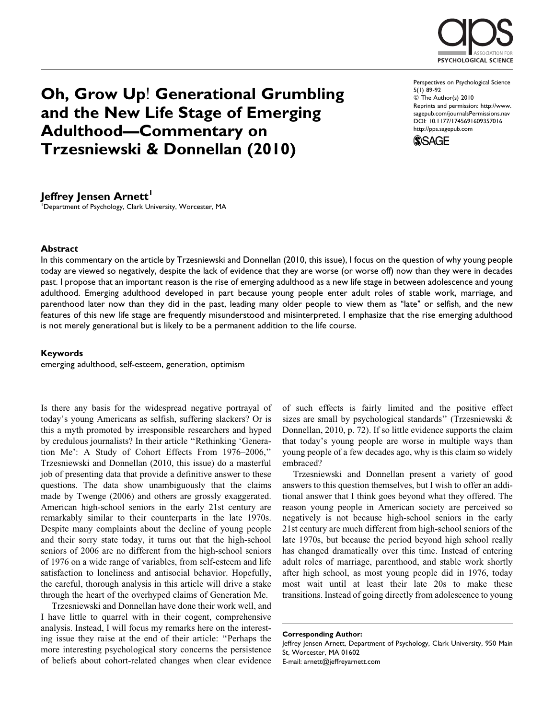

# Oh, Grow Up! Generational Grumbling and the New Life Stage of Emerging Adulthood—Commentary on Trzesniewski & Donnellan (2010)

Perspectives on Psychological Science 5(1) 89-92  $©$  The Author(s) 2010 Reprints and permission: http://www. sagepub.com/journalsPermissions.nav DOI: 10.1177/1745691609357016 http://pps.sagepub.com



## Jeffrey Jensen Arnett<sup>'</sup>

Department of Psychology, Clark University, Worcester, MA

#### Abstract

In this commentary on the article by Trzesniewski and Donnellan (2010, this issue), I focus on the question of why young people today are viewed so negatively, despite the lack of evidence that they are worse (or worse off) now than they were in decades past. I propose that an important reason is the rise of emerging adulthood as a new life stage in between adolescence and young adulthood. Emerging adulthood developed in part because young people enter adult roles of stable work, marriage, and parenthood later now than they did in the past, leading many older people to view them as ''late'' or selfish, and the new features of this new life stage are frequently misunderstood and misinterpreted. I emphasize that the rise emerging adulthood is not merely generational but is likely to be a permanent addition to the life course.

#### Keywords

emerging adulthood, self-esteem, generation, optimism

Is there any basis for the widespread negative portrayal of today's young Americans as selfish, suffering slackers? Or is this a myth promoted by irresponsible researchers and hyped by credulous journalists? In their article ''Rethinking 'Generation Me': A Study of Cohort Effects From 1976–2006,'' Trzesniewski and Donnellan (2010, this issue) do a masterful job of presenting data that provide a definitive answer to these questions. The data show unambiguously that the claims made by Twenge (2006) and others are grossly exaggerated. American high-school seniors in the early 21st century are remarkably similar to their counterparts in the late 1970s. Despite many complaints about the decline of young people and their sorry state today, it turns out that the high-school seniors of 2006 are no different from the high-school seniors of 1976 on a wide range of variables, from self-esteem and life satisfaction to loneliness and antisocial behavior. Hopefully, the careful, thorough analysis in this article will drive a stake through the heart of the overhyped claims of Generation Me.

Trzesniewski and Donnellan have done their work well, and I have little to quarrel with in their cogent, comprehensive analysis. Instead, I will focus my remarks here on the interesting issue they raise at the end of their article: ''Perhaps the more interesting psychological story concerns the persistence of beliefs about cohort-related changes when clear evidence of such effects is fairly limited and the positive effect sizes are small by psychological standards'' (Trzesniewski & Donnellan, 2010, p. 72). If so little evidence supports the claim that today's young people are worse in multiple ways than young people of a few decades ago, why is this claim so widely embraced?

Trzesniewski and Donnellan present a variety of good answers to this question themselves, but I wish to offer an additional answer that I think goes beyond what they offered. The reason young people in American society are perceived so negatively is not because high-school seniors in the early 21st century are much different from high-school seniors of the late 1970s, but because the period beyond high school really has changed dramatically over this time. Instead of entering adult roles of marriage, parenthood, and stable work shortly after high school, as most young people did in 1976, today most wait until at least their late 20s to make these transitions. Instead of going directly from adolescence to young

#### Corresponding Author:

Jeffrey Jensen Arnett, Department of Psychology, Clark University, 950 Main St, Worcester, MA 01602

E-mail: arnett@jeffreyarnett.com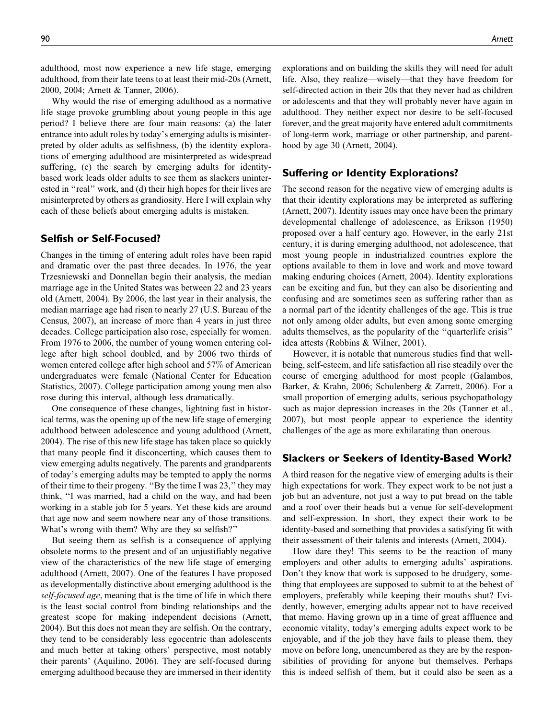adulthood, most now experience a new life stage, emerging adulthood, from their late teens to at least their mid-20s (Arnett, 2000, 2004; Arnett & Tanner, 2006).

Why would the rise of emerging adulthood as a normative life stage provoke grumbling about young people in this age period? I believe there are four main reasons: (a) the later entrance into adult roles by today's emerging adults is misinterpreted by older adults as selfishness, (b) the identity explorations of emerging adulthood are misinterpreted as widespread suffering, (c) the search by emerging adults for identitybased work leads older adults to see them as slackers uninterested in ''real'' work, and (d) their high hopes for their lives are misinterpreted by others as grandiosity. Here I will explain why each of these beliefs about emerging adults is mistaken.

## Selfish or Self-Focused?

Changes in the timing of entering adult roles have been rapid and dramatic over the past three decades. In 1976, the year Trzesniewski and Donnellan begin their analysis, the median marriage age in the United States was between 22 and 23 years old (Arnett, 2004). By 2006, the last year in their analysis, the median marriage age had risen to nearly 27 (U.S. Bureau of the Census, 2007), an increase of more than 4 years in just three decades. College participation also rose, especially for women. From 1976 to 2006, the number of young women entering college after high school doubled, and by 2006 two thirds of women entered college after high school and 57% of American undergraduates were female (National Center for Education Statistics, 2007). College participation among young men also rose during this interval, although less dramatically.

One consequence of these changes, lightning fast in historical terms, was the opening up of the new life stage of emerging adulthood between adolescence and young adulthood (Arnett, 2004). The rise of this new life stage has taken place so quickly that many people find it disconcerting, which causes them to view emerging adults negatively. The parents and grandparents of today's emerging adults may be tempted to apply the norms of their time to their progeny. ''By the time I was 23,'' they may think, ''I was married, had a child on the way, and had been working in a stable job for 5 years. Yet these kids are around that age now and seem nowhere near any of those transitions. What's wrong with them? Why are they so selfish?''

But seeing them as selfish is a consequence of applying obsolete norms to the present and of an unjustifiably negative view of the characteristics of the new life stage of emerging adulthood (Arnett, 2007). One of the features I have proposed as developmentally distinctive about emerging adulthood is the self-focused age, meaning that is the time of life in which there is the least social control from binding relationships and the greatest scope for making independent decisions (Arnett, 2004). But this does not mean they are selfish. On the contrary, they tend to be considerably less egocentric than adolescents and much better at taking others' perspective, most notably their parents' (Aquilino, 2006). They are self-focused during emerging adulthood because they are immersed in their identity

explorations and on building the skills they will need for adult life. Also, they realize—wisely—that they have freedom for self-directed action in their 20s that they never had as children or adolescents and that they will probably never have again in adulthood. They neither expect nor desire to be self-focused forever, and the great majority have entered adult commitments of long-term work, marriage or other partnership, and parenthood by age 30 (Arnett, 2004).

## Suffering or Identity Explorations?

The second reason for the negative view of emerging adults is that their identity explorations may be interpreted as suffering (Arnett, 2007). Identity issues may once have been the primary developmental challenge of adolescence, as Erikson (1950) proposed over a half century ago. However, in the early 21st century, it is during emerging adulthood, not adolescence, that most young people in industrialized countries explore the options available to them in love and work and move toward making enduring choices (Arnett, 2004). Identity explorations can be exciting and fun, but they can also be disorienting and confusing and are sometimes seen as suffering rather than as a normal part of the identity challenges of the age. This is true not only among older adults, but even among some emerging adults themselves, as the popularity of the ''quarterlife crisis'' idea attests (Robbins & Wilner, 2001).

However, it is notable that numerous studies find that wellbeing, self-esteem, and life satisfaction all rise steadily over the course of emerging adulthood for most people (Galambos, Barker, & Krahn, 2006; Schulenberg & Zarrett, 2006). For a small proportion of emerging adults, serious psychopathology such as major depression increases in the 20s (Tanner et al., 2007), but most people appear to experience the identity challenges of the age as more exhilarating than onerous.

## Slackers or Seekers of Identity-Based Work?

A third reason for the negative view of emerging adults is their high expectations for work. They expect work to be not just a job but an adventure, not just a way to put bread on the table and a roof over their heads but a venue for self-development and self-expression. In short, they expect their work to be identity-based and something that provides a satisfying fit with their assessment of their talents and interests (Arnett, 2004).

How dare they! This seems to be the reaction of many employers and other adults to emerging adults' aspirations. Don't they know that work is supposed to be drudgery, something that employees are supposed to submit to at the behest of employers, preferably while keeping their mouths shut? Evidently, however, emerging adults appear not to have received that memo. Having grown up in a time of great affluence and economic vitality, today's emerging adults expect work to be enjoyable, and if the job they have fails to please them, they move on before long, unencumbered as they are by the responsibilities of providing for anyone but themselves. Perhaps this is indeed selfish of them, but it could also be seen as a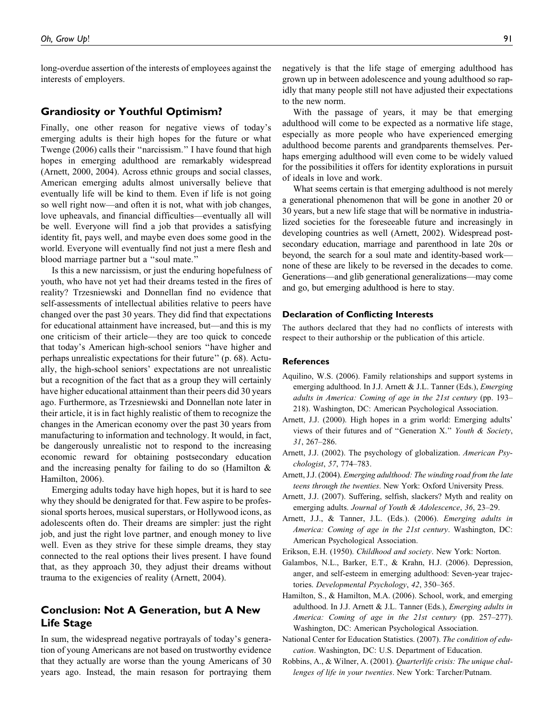long-overdue assertion of the interests of employees against the interests of employers.

## Grandiosity or Youthful Optimism?

Finally, one other reason for negative views of today's emerging adults is their high hopes for the future or what Twenge (2006) calls their ''narcissism.'' I have found that high hopes in emerging adulthood are remarkably widespread (Arnett, 2000, 2004). Across ethnic groups and social classes, American emerging adults almost universally believe that eventually life will be kind to them. Even if life is not going so well right now—and often it is not, what with job changes, love upheavals, and financial difficulties—eventually all will be well. Everyone will find a job that provides a satisfying identity fit, pays well, and maybe even does some good in the world. Everyone will eventually find not just a mere flesh and blood marriage partner but a ''soul mate.''

Is this a new narcissism, or just the enduring hopefulness of youth, who have not yet had their dreams tested in the fires of reality? Trzesniewski and Donnellan find no evidence that self-assessments of intellectual abilities relative to peers have changed over the past 30 years. They did find that expectations for educational attainment have increased, but—and this is my one criticism of their article—they are too quick to concede that today's American high-school seniors ''have higher and perhaps unrealistic expectations for their future'' (p. 68). Actually, the high-school seniors' expectations are not unrealistic but a recognition of the fact that as a group they will certainly have higher educational attainment than their peers did 30 years ago. Furthermore, as Trzesniewski and Donnellan note later in their article, it is in fact highly realistic of them to recognize the changes in the American economy over the past 30 years from manufacturing to information and technology. It would, in fact, be dangerously unrealistic not to respond to the increasing economic reward for obtaining postsecondary education and the increasing penalty for failing to do so (Hamilton & Hamilton, 2006).

Emerging adults today have high hopes, but it is hard to see why they should be denigrated for that. Few aspire to be professional sports heroes, musical superstars, or Hollywood icons, as adolescents often do. Their dreams are simpler: just the right job, and just the right love partner, and enough money to live well. Even as they strive for these simple dreams, they stay connected to the real options their lives present. I have found that, as they approach 30, they adjust their dreams without trauma to the exigencies of reality (Arnett, 2004).

## Conclusion: Not A Generation, but A New Life Stage

In sum, the widespread negative portrayals of today's generation of young Americans are not based on trustworthy evidence that they actually are worse than the young Americans of 30 years ago. Instead, the main resason for portraying them

negatively is that the life stage of emerging adulthood has grown up in between adolescence and young adulthood so rapidly that many people still not have adjusted their expectations to the new norm.

With the passage of years, it may be that emerging adulthood will come to be expected as a normative life stage, especially as more people who have experienced emerging adulthood become parents and grandparents themselves. Perhaps emerging adulthood will even come to be widely valued for the possibilities it offers for identity explorations in pursuit of ideals in love and work.

What seems certain is that emerging adulthood is not merely a generational phenomenon that will be gone in another 20 or 30 years, but a new life stage that will be normative in industrialized societies for the foreseeable future and increasingly in developing countries as well (Arnett, 2002). Widespread postsecondary education, marriage and parenthood in late 20s or beyond, the search for a soul mate and identity-based work none of these are likely to be reversed in the decades to come. Generations—and glib generational generalizations—may come and go, but emerging adulthood is here to stay.

## Declaration of Conflicting Interests

The authors declared that they had no conflicts of interests with respect to their authorship or the publication of this article.

#### **References**

- Aquilino, W.S. (2006). Family relationships and support systems in emerging adulthood. In J.J. Arnett & J.L. Tanner (Eds.), *Emerging* adults in America: Coming of age in the 21st century (pp. 193– 218). Washington, DC: American Psychological Association.
- Arnett, J.J. (2000). High hopes in a grim world: Emerging adults' views of their futures and of ''Generation X.'' Youth & Society, 31, 267–286.
- Arnett, J.J. (2002). The psychology of globalization. American Psychologist, 57, 774–783.
- Arnett, J.J. (2004). Emerging adulthood: The winding road from the late teens through the twenties. New York: Oxford University Press.
- Arnett, J.J. (2007). Suffering, selfish, slackers? Myth and reality on emerging adults. Journal of Youth & Adolescence, 36, 23-29.
- Arnett, J.J., & Tanner, J.L. (Eds.). (2006). Emerging adults in America: Coming of age in the 21st century. Washington, DC: American Psychological Association.
- Erikson, E.H. (1950). Childhood and society. New York: Norton.
- Galambos, N.L., Barker, E.T., & Krahn, H.J. (2006). Depression, anger, and self-esteem in emerging adulthood: Seven-year trajectories. Developmental Psychology, 42, 350–365.
- Hamilton, S., & Hamilton, M.A. (2006). School, work, and emerging adulthood. In J.J. Arnett & J.L. Tanner (Eds.), Emerging adults in America: Coming of age in the 21st century (pp. 257–277). Washington, DC: American Psychological Association.
- National Center for Education Statistics. (2007). The condition of education. Washington, DC: U.S. Department of Education.
- Robbins, A., & Wilner, A. (2001). Quarterlife crisis: The unique challenges of life in your twenties. New York: Tarcher/Putnam.